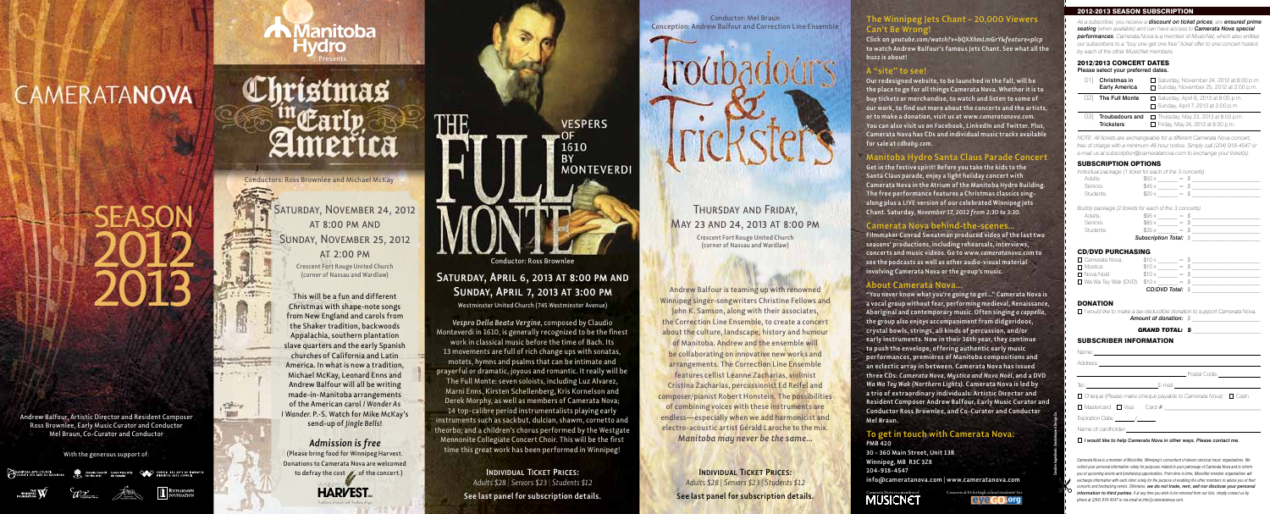#### With the generous support of:

**MANITOBA ARTS COUNCIL**<br>CONSEIL DES ARTS DU MANIT WINNIPEG ARTS DE WINNIPEG<br>WINNIPEG ARTS COUNCIL

Andrew Balfour, Artistic Director and Resident Composer Ross Brownlee, Early Music Curator and Conductor Mel Braun, Co-Curator and Conductor

#### **The Winnipeg Jets Chant – 20,000 Viewers Can't Be Wrong!**

**Click on** *youtube.com/watch?v=bQXXhmLmGrY&feature=plcp*  **to watch Andrew Balfour's famous Jets Chant. See what all the buzz is about!**

#### **A "site" to see!**

**Our redesigned website, to be launched in the fall, will be the place to go for all things Camerata Nova. Whether it is to buy tickets or merchandise, to watch and listen to some of our work, to find out more about the concerts and the artists, or to make a donation, visit us at** *www.cameratanova.com***. You can also visit us on Facebook, LinkedIn and Twitter. Plus, Camerata Nova has CDs and individual music tracks available for sale at** *cdbaby.com***.**

#### **Manitoba Hydro Santa Claus Parade Concert**

**Get in the festive spirit! Before you take the kids to the Santa Claus parade, enjoy a light holiday concert with Camerata Nova in the Atrium of the Manitoba Hydro Building. The free performance features a Christmas classics singalong plus a LIVE version of our celebrated Winnipeg Jets Chant. Saturday,** *November 17, 2012 from 2:30 to 3:30***.**

#### **Camerata Nova behind-the-scenes…**

**Filmmaker Conrad Sweatman produced video of the last two seasons' productions, including rehearsals, interviews, concerts and music videos. Go to** *www.cameratanova.com* **to see the podcasts as well as other audio-visual material involving Camerata Nova or the group's music.**

#### **About Camerata Nova…**

**"You never know what you're going to get…" Camerata Nova is a vocal group without fear, performing medieval, Renaissance, Aboriginal and contemporary music. Often singing** *a cappella***, the group also enjoys accompaniment from didgeridoos, crystal bowls, strings, all kinds of percussion, and/or early instruments. Now in their 16th year, they continue to push the envelope, offering authentic early music performances, premières of Manitoba compositions and an eclectic array in between. Camerata Nova has issued three CDs:** *Camerata Nova, Mystica and Nova Noël,* **and a DVD**  *Wa Wa Tey Wak (Northern Lights)***. Camerata Nova is led by a trio of extraordinary individuals: Artistic Director and Resident Composer Andrew Balfour, Early Music Curator and Conductor Ross Brownlee, and Co-Curator and Conductor Mel Braun.**

| Name: 1980 - 1980 - 1980 - 1980 - 1980 - 1980 - 1980 - 1980 - 1980 - 1980 - 1980 - 1980 - 1980 - 1980 - 1980 - |                                                                                                                                                                                                                                |  |
|----------------------------------------------------------------------------------------------------------------|--------------------------------------------------------------------------------------------------------------------------------------------------------------------------------------------------------------------------------|--|
| Address:                                                                                                       |                                                                                                                                                                                                                                |  |
|                                                                                                                | Postal Code:                                                                                                                                                                                                                   |  |
| Tel.: _______________________                                                                                  | E-mail: E-mail: E-mail: E-mail: E-mail: E-mail: E-mail: E-mail: E-mail: E-mail: E-mail: E-mail: E-mail: E-mail: E-mail: E-mail: E-mail: E-mail: E-mail: E-mail: E-mail: E-mail: E-mail: E-mail: E-mail: E-mail: E-mail: E-mail |  |
| $\Box$ Cheque (Please make cheque payable to Camerata Nova) $\Box$ Cash                                        |                                                                                                                                                                                                                                |  |

□ Mastercard □ Visa Card #:

Expiration Date: Name of cardholder:

#### **To get in touch with Camerata Nova: PMB 420**

**30 – 360 Main Street, Unit 13B Winnipeg, MB R3C 3Z8 204-918-4547 info@cameratanova.com | www.cameratanova.com**

#### 2012-2013 SEASON SUBSCRIPTION

*As a subscriber, you receive a discount on ticket prices, are ensured prime seating (when available) and can have access to Camerata Nova special performances. Camerata Nova is a member of MusicNet, which also entitles our subscribers to a "buy one get one free" ticket offer to one concert hosted by each of the other MusicNet members.* 

#### 2012/2013 CONCERT DATES Please select your preferred dates.

(Please bring food for Winnipeg Harvest. Donations to Camerata Nova are welcomed to defray the cost  $\mathcal{O}_n$  of the concert.)

**HARVEST.** 

| Christmas in                                      | □ Saturday, November 24, 2012 at 8:00 p.m.                                        |
|---------------------------------------------------|-----------------------------------------------------------------------------------|
| <b>Early America</b>                              | $\Box$ Sunday, November 25, 2012 at 2:00 p.m.                                     |
| The Full Monte                                    | $\Box$ Saturday, April 6, 2013 at 8:00 p.m.                                       |
| 021                                               | □ Sunday, April 7, 2013 at 3:00 p.m.                                              |
| <b>Troubadours and</b><br>03<br><b>Tricksters</b> | $\Box$ Thursday, May 23, 2013 at 8:00 p.m.<br>□ Friday, May 24, 2013 at 8:00 p.m. |

*NOTE: All tickets are exchangeable for a different Camerata Nova concert, free of charge with a minimum 48-hour notice. Simply call (204) 918-4547 or e-mail us at subscription@cameratanova.com to exchange your ticket(s).*

#### SUBSCRIPTION OPTIONS

**SATURDAY, APRIL 6, 2013 AT 8:00 PM AND Sunday, April 7, 2013 at 3:00 pm** Westminster United Church (745 Westminster Avenue)

*Individual package (1 ticket for each of the 3 concerts)* 

| Adults:   | $=$        |  |
|-----------|------------|--|
| Seniors:  | $=$ $\chi$ |  |
| Students: | $=$ $-$    |  |

*Buddy package (2 tickets for each of the 3 concerts)*

| Adults:   | \$95x                         | $=$ $\lambda$ |  |  |
|-----------|-------------------------------|---------------|--|--|
| Seniors:  | \$85x                         | =             |  |  |
| Students: | \$35x                         | $=$ $\lambda$ |  |  |
|           | <b>Subscription Total: \$</b> |               |  |  |

#### CD/DVD PURCHASING

## **CAMERATANOVA**

# 2013 **SEASON**

رشقتي 'smo

| □ Camerata Nova:                        | \$10x                   | $=$ $\sqrt{s}$ |  |
|-----------------------------------------|-------------------------|----------------|--|
| □ Mystica:                              | \$10x                   | $=$ \$         |  |
| ⊟ Nova Noël:                            | \$10x                   | $=$ $\sqrt{5}$ |  |
| $\Box$ Wa Wa Tey Wak (DVD): $$10\times$ |                         | $=$ $\sqrt{5}$ |  |
|                                         | <b>CD/DVD Total: \$</b> |                |  |

#### **DONATION**

#### **A** Manitoba **Hydro** Presents

# **Christmas**

SATURDAY, NOVEMBER 24, 2012 at 8:00 pm and Sunday, November 25, 2012 at 2:00 pm

 *I would like to make a tax-deductible donation to support Camerata Nova.*

**Amount of donation:** 

| <b>GRAND TOTAL: S</b> |  |
|-----------------------|--|
|                       |  |

#### SUBSCRIBER INFORMATION

*I would like to help Camerata Nova in other ways. Please contact me.*

*Camerata Nova is a member of MusicNet, Winnipeg's consortium of eleven classical music organizations. We collect your personal information solely for purposes related to your patronage of Camerata Nova and to inform you of upcoming events and fundraising opportunities. From time to time, MusicNet member organizations will exchange information with each other solely for the purpose of enabling the other members to advise you of their concerts and fundraising events. Otherwise, we do not trade, rent, sell nor disclose your personal information to third parties. If at any time you wish to be removed from our lists, simply contact us by phone at (204) 918-4547 or via email at info@cameratanova.com.*



Creative Ingredients: Smokehouse A Design Co.

This will be a fun and different Christmas with shape-note songs from New England and carols from the Shaker tradition, backwoods Appalachia, southern plantation slave quarters and the early Spanish churches of California and Latin America. In what is now a tradition, Michael McKay, Leonard Enns and Andrew Balfour will all be writing made-in-Manitoba arrangements of the American carol *I Wonder As I Wander.* P.-S. Watch for Mike McKay's send-up of *Jingle Bells*!

#### *Admission is free*

Andrew Balfour is teaming up with renowned Winnipeg singer-songwriters Christine Fellows and John K. Samson, along with their associates, the Correction Line Ensemble, to create a concert about the culture, landscape, history and humour of Manitoba. Andrew and the ensemble will be collaborating on innovative new works and arrangements. The Correction Line Ensemble features cellist Leanne Zacharias, violinist Cristina Zacharias, percussionist Ed Reifel and composer/pianist Robert Honstein. The possibilities of combining voices with these instruments are endless—especially when we add harmonicist and electro-acoustic artist Gérald Laroche to the mix. *Manitoba may never be the same…*

Conductors: Ross Brownlee and Michael McKay

Crescent Fort Rouge United Church

**Individual Ticket Prices:**  *Adults \$28* | *Seniors \$23* | *Students \$12*  **See last panel for subscription details.**



*Vespro Della Beata Vergine*, composed by Claudio Monteverdi in 1610, is generally recognized to be the finest work in classical music before the time of Bach. Its 13 movements are full of rich change ups with sonatas, motets, hymns and psalms that can be intimate and prayerful or dramatic, joyous and romantic. It really will be The Full Monte: seven soloists, including Luz Alvarez, Marni Enns, Kirsten Schellenberg, Kris Kornelson and Derek Morphy, as well as members of Camerata Nova; 14 top-calibre period instrumentalists playing early instruments such as sackbut, dulcian, shawm, cornetto and theorbo; and a children's chorus performed by the Westgate Mennonite Collegiate Concert Choir. This will be the first time this great work has been performed in Winnipeg!

Conductor: Mel Braun Conception: Andrew Balfour and Correction Line Ensemble

#### Thursday and Friday, May 23 and 24, 2013 at 8:00 pm

Crescent Fort Rouge United Church

**Individual Ticket Prices:**  *Adults \$28* | *Seniors \$23* | *Students \$12*  **See last panel for subscription details.**

Concerts at \$5 for high-school students! See

eye<sub>GO</sub>.org